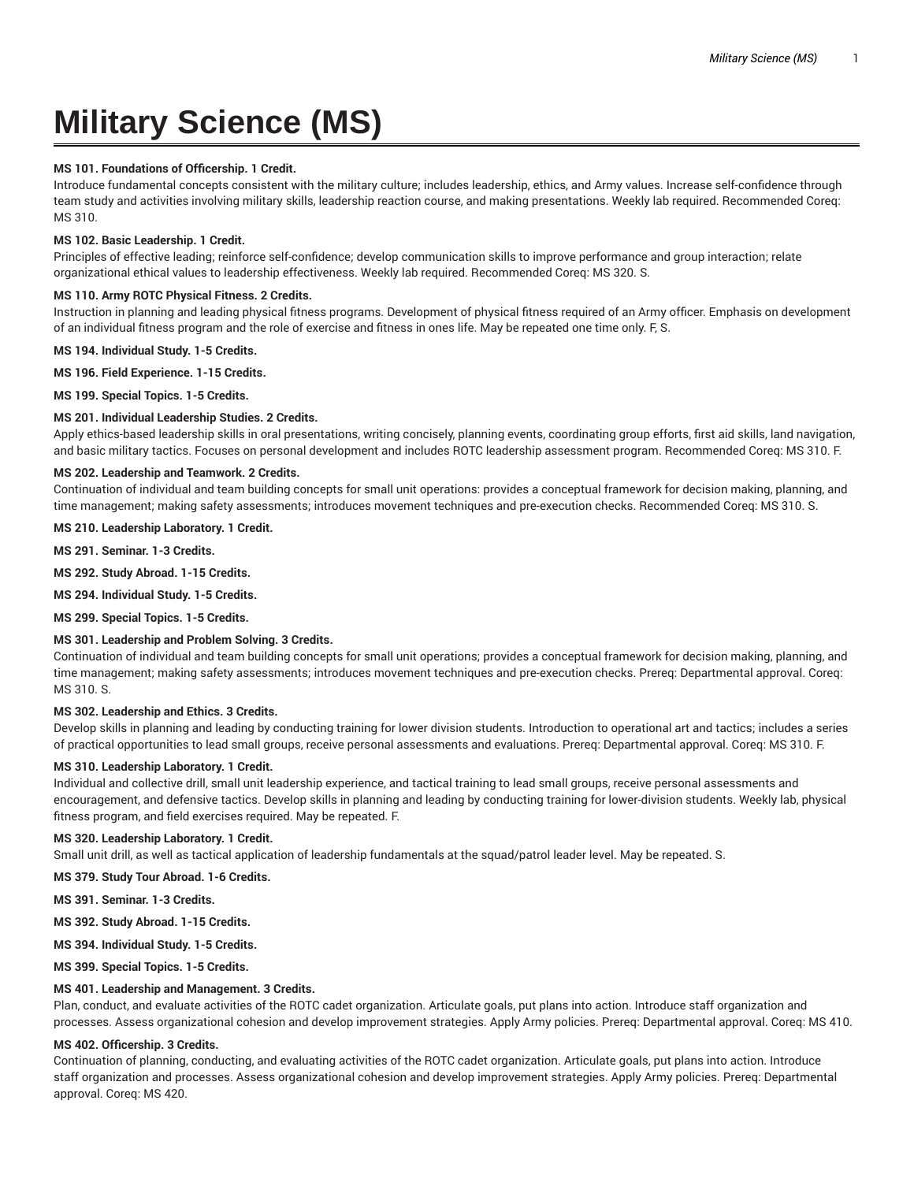# **Military Science (MS)**

## **MS 101. Foundations of Officership. 1 Credit.**

Introduce fundamental concepts consistent with the military culture; includes leadership, ethics, and Army values. Increase self-confidence through team study and activities involving military skills, leadership reaction course, and making presentations. Weekly lab required. Recommended Coreq: MS 310.

#### **MS 102. Basic Leadership. 1 Credit.**

Principles of effective leading; reinforce self-confidence; develop communication skills to improve performance and group interaction; relate organizational ethical values to leadership effectiveness. Weekly lab required. Recommended Coreq: MS 320. S.

### **MS 110. Army ROTC Physical Fitness. 2 Credits.**

Instruction in planning and leading physical fitness programs. Development of physical fitness required of an Army officer. Emphasis on development of an individual fitness program and the role of exercise and fitness in ones life. May be repeated one time only. F, S.

**MS 194. Individual Study. 1-5 Credits.**

#### **MS 196. Field Experience. 1-15 Credits.**

**MS 199. Special Topics. 1-5 Credits.**

#### **MS 201. Individual Leadership Studies. 2 Credits.**

Apply ethics-based leadership skills in oral presentations, writing concisely, planning events, coordinating group efforts, first aid skills, land navigation, and basic military tactics. Focuses on personal development and includes ROTC leadership assessment program. Recommended Coreq: MS 310. F.

#### **MS 202. Leadership and Teamwork. 2 Credits.**

Continuation of individual and team building concepts for small unit operations: provides a conceptual framework for decision making, planning, and time management; making safety assessments; introduces movement techniques and pre-execution checks. Recommended Coreq: MS 310. S.

**MS 210. Leadership Laboratory. 1 Credit.**

**MS 291. Seminar. 1-3 Credits.**

**MS 292. Study Abroad. 1-15 Credits.**

**MS 294. Individual Study. 1-5 Credits.**

**MS 299. Special Topics. 1-5 Credits.**

#### **MS 301. Leadership and Problem Solving. 3 Credits.**

Continuation of individual and team building concepts for small unit operations; provides a conceptual framework for decision making, planning, and time management; making safety assessments; introduces movement techniques and pre-execution checks. Prereq: Departmental approval. Coreq: MS 310. S.

#### **MS 302. Leadership and Ethics. 3 Credits.**

Develop skills in planning and leading by conducting training for lower division students. Introduction to operational art and tactics; includes a series of practical opportunities to lead small groups, receive personal assessments and evaluations. Prereq: Departmental approval. Coreq: MS 310. F.

#### **MS 310. Leadership Laboratory. 1 Credit.**

Individual and collective drill, small unit leadership experience, and tactical training to lead small groups, receive personal assessments and encouragement, and defensive tactics. Develop skills in planning and leading by conducting training for lower-division students. Weekly lab, physical fitness program, and field exercises required. May be repeated. F.

#### **MS 320. Leadership Laboratory. 1 Credit.**

Small unit drill, as well as tactical application of leadership fundamentals at the squad/patrol leader level. May be repeated. S.

**MS 379. Study Tour Abroad. 1-6 Credits.**

**MS 391. Seminar. 1-3 Credits.**

**MS 392. Study Abroad. 1-15 Credits.**

**MS 394. Individual Study. 1-5 Credits.**

**MS 399. Special Topics. 1-5 Credits.**

#### **MS 401. Leadership and Management. 3 Credits.**

Plan, conduct, and evaluate activities of the ROTC cadet organization. Articulate goals, put plans into action. Introduce staff organization and processes. Assess organizational cohesion and develop improvement strategies. Apply Army policies. Prereq: Departmental approval. Coreq: MS 410.

#### **MS 402. Officership. 3 Credits.**

Continuation of planning, conducting, and evaluating activities of the ROTC cadet organization. Articulate goals, put plans into action. Introduce staff organization and processes. Assess organizational cohesion and develop improvement strategies. Apply Army policies. Prereq: Departmental approval. Coreq: MS 420.